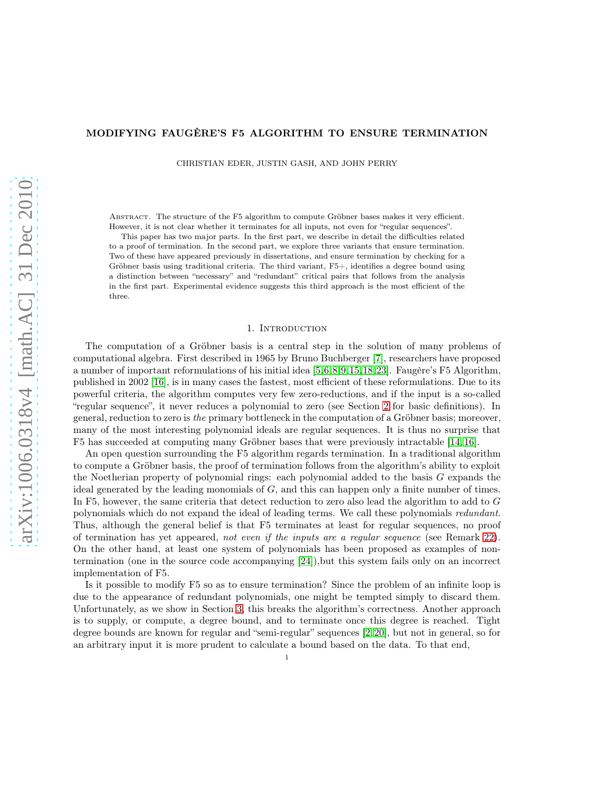#### MODIFYING FAUGÈRE'S F5 ALGORITHM TO ENSURE TERMINATION

CHRISTIAN EDER, JUSTIN GASH, AND JOHN PERRY

ABSTRACT. The structure of the F5 algorithm to compute Gröbner bases makes it very efficient. However, it is not clear whether it terminates for all inputs, not even for "regular sequences".

This paper has two major parts. In the first part, we describe in detail the difficulties related to a proof of termination. In the second part, we explore three variants that ensure termination. Two of these have appeared previously in dissertations, and ensure termination by checking for a Gröbner basis using traditional criteria. The third variant, F5+, identifies a degree bound using a distinction between "necessary" and "redundant" critical pairs that follows from the analysis in the first part. Experimental evidence suggests this third approach is the most efficient of the three.

#### 1. INTRODUCTION

The computation of a Gröbner basis is a central step in the solution of many problems of computational algebra. First described in 1965 by Bruno Buchberger [\[7\]](#page-17-0), researchers have proposed a number of important reformulations of his initial idea [\[5,](#page-17-1)[6,](#page-17-2)[8,](#page-17-3)[9,](#page-17-4)[15,](#page-18-0)[18,](#page-18-1)[23\]](#page-18-2). Faugère's F5 Algorithm, published in 2002 [\[16\]](#page-18-3), is in many cases the fastest, most efficient of these reformulations. Due to its powerful criteria, the algorithm computes very few zero-reductions, and if the input is a so-called "regular sequence", it never reduces a polynomial to zero (see Section [2](#page-1-0) for basic definitions). In general, reduction to zero is the primary bottleneck in the computation of a Gröbner basis; moreover, many of the most interesting polynomial ideals are regular sequences. It is thus no surprise that F5 has succeeded at computing many Gröbner bases that were previously intractable [\[14,](#page-18-4) [16\]](#page-18-3).

An open question surrounding the F5 algorithm regards termination. In a traditional algorithm to compute a Gröbner basis, the proof of termination follows from the algorithm's ability to exploit the Noetherian property of polynomial rings: each polynomial added to the basis  $G$  expands the ideal generated by the leading monomials of G, and this can happen only a finite number of times. In F5, however, the same criteria that detect reduction to zero also lead the algorithm to add to G polynomials which do not expand the ideal of leading terms. We call these polynomials redundant. Thus, although the general belief is that F5 terminates at least for regular sequences, no proof of termination has yet appeared, not even if the inputs are a regular sequence (see Remark [22\)](#page-8-0). On the other hand, at least one system of polynomials has been proposed as examples of nontermination (one in the source code accompanying [\[24\]](#page-18-5)),but this system fails only on an incorrect implementation of F5.

Is it possible to modify F5 so as to ensure termination? Since the problem of an infinite loop is due to the appearance of redundant polynomials, one might be tempted simply to discard them. Unfortunately, as we show in Section [3,](#page-6-0) this breaks the algorithm's correctness. Another approach is to supply, or compute, a degree bound, and to terminate once this degree is reached. Tight degree bounds are known for regular and "semi-regular" sequences [\[2,](#page-17-5) [20\]](#page-18-6), but not in general, so for an arbitrary input it is more prudent to calculate a bound based on the data. To that end,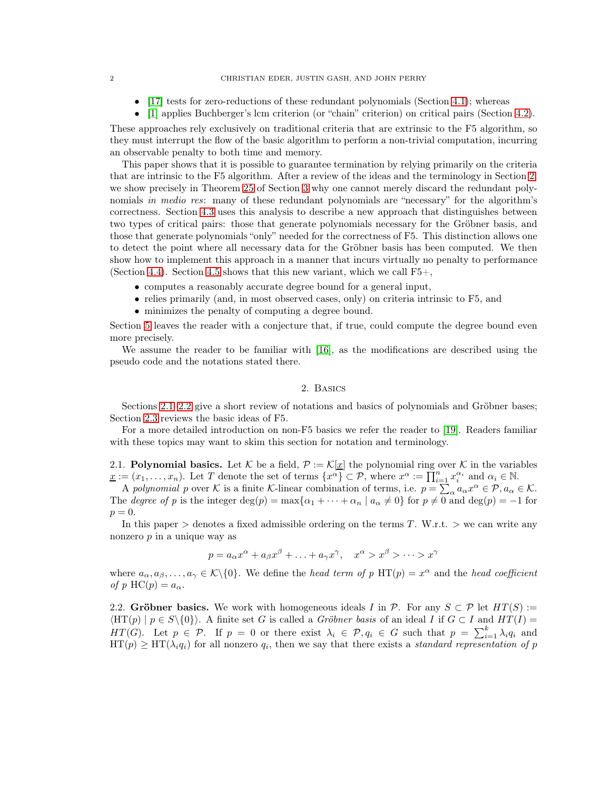- $[17]$  tests for zero-reductions of these redundant polynomials (Section [4.1\)](#page-10-0); whereas
- [\[1\]](#page-17-6) applies Buchberger's lcm criterion (or "chain" criterion) on critical pairs (Section [4.2\)](#page-11-0).

These approaches rely exclusively on traditional criteria that are extrinsic to the F5 algorithm, so they must interrupt the flow of the basic algorithm to perform a non-trivial computation, incurring an observable penalty to both time and memory.

This paper shows that it is possible to guarantee termination by relying primarily on the criteria that are intrinsic to the F5 algorithm. After a review of the ideas and the terminology in Section [2,](#page-1-0) we show precisely in Theorem [25](#page-8-1) of Section [3](#page-6-0) why one cannot merely discard the redundant polynomials in medio res: many of these redundant polynomials are "necessary" for the algorithm's correctness. Section [4.3](#page-11-1) uses this analysis to describe a new approach that distinguishes between two types of critical pairs: those that generate polynomials necessary for the Gröbner basis, and those that generate polynomials "only" needed for the correctness of F5. This distinction allows one to detect the point where all necessary data for the Gröbner basis has been computed. We then show how to implement this approach in a manner that incurs virtually no penalty to performance (Section [4.4\)](#page-12-0). Section [4.5](#page-15-0) shows that this new variant, which we call  $F5+$ ,

- computes a reasonably accurate degree bound for a general input,
- relies primarily (and, in most observed cases, only) on criteria intrinsic to F5, and
- minimizes the penalty of computing a degree bound.

Section [5](#page-17-7) leaves the reader with a conjecture that, if true, could compute the degree bound even more precisely.

<span id="page-1-0"></span>We assume the reader to be familiar with [\[16\]](#page-18-3), as the modifications are described using the pseudo code and the notations stated there.

# 2. Basics

Sections [2.1–](#page-1-1)[2.2](#page-1-2) give a short review of notations and basics of polynomials and Gröbner bases; Section [2.3](#page-2-0) reviews the basic ideas of F5.

For a more detailed introduction on non-F5 basics we refer the reader to [\[19\]](#page-18-8). Readers familiar with these topics may want to skim this section for notation and terminology.

<span id="page-1-1"></span>2.1. Polynomial basics. Let K be a field,  $\mathcal{P} := \mathcal{K}[\underline{x}]$  the polynomial ring over K in the variables  $\underline{x} := (x_1, \ldots, x_n)$ . Let T denote the set of terms  $\{x^{\alpha}\}\subset \mathcal{P}$ , where  $x^{\alpha} := \prod_{i=1}^{n} x_i^{\alpha_i}$  and  $\alpha_i \in \mathbb{N}$ .

A polynomial p over K is a finite K-linear combination of terms, i.e.  $p = \sum_{\alpha} a_{\alpha} x^{\alpha} \in \mathcal{P}, a_{\alpha} \in \mathcal{K}.$ The degree of p is the integer deg(p) = max $\{\alpha_1 + \cdots + \alpha_n \mid a_\alpha \neq 0\}$  for  $p \neq 0$  and deg(p) = -1 for  $p = 0.$ 

In this paper  $\geq$  denotes a fixed admissible ordering on the terms T. W.r.t.  $\geq$  we can write any nonzero p in a unique way as

$$
p = a_{\alpha}x^{\alpha} + a_{\beta}x^{\beta} + \ldots + a_{\gamma}x^{\gamma}, \quad x^{\alpha} > x^{\beta} > \cdots > x^{\gamma}
$$

where  $a_{\alpha}, a_{\beta}, \ldots, a_{\gamma} \in K \setminus \{0\}$ . We define the *head term of* p HT(p) =  $x^{\alpha}$  and the *head coefficient* of p HC(p) =  $a_{\alpha}$ .

<span id="page-1-2"></span>2.2. Gröbner basics. We work with homogeneous ideals I in P. For any  $S \subset \mathcal{P}$  let  $HT(S) :=$  $\langle HT(p) | p \in S \setminus \{0\}\rangle$ . A finite set G is called a Gröbner basis of an ideal I if  $G \subset I$  and  $HT(I) =$  $HT(G)$ . Let  $p \in \mathcal{P}$ . If  $p = 0$  or there exist  $\lambda_i \in \mathcal{P}, q_i \in G$  such that  $p = \sum_{i=1}^k \lambda_i q_i$  and  $HT(p) \ge HT(\lambda_i q_i)$  for all nonzero  $q_i$ , then we say that there exists a standard representation of p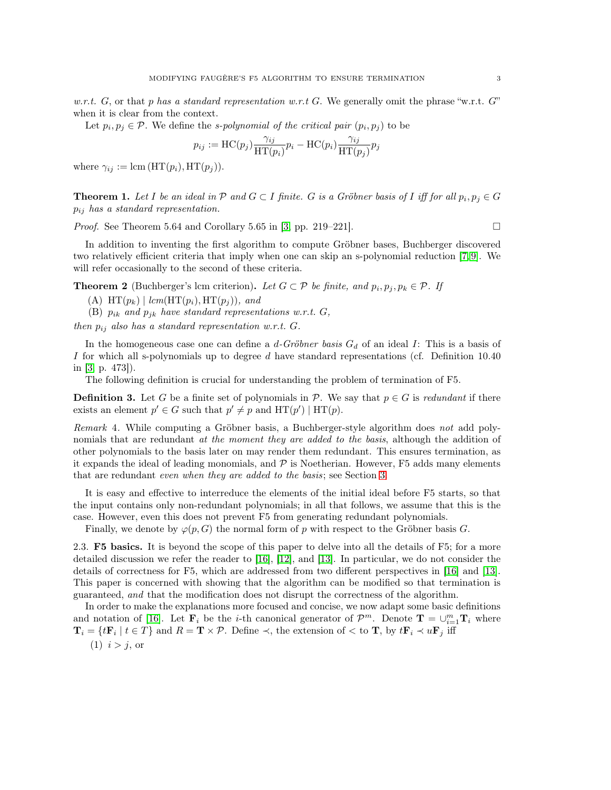w.r.t. G, or that p has a standard representation w.r.t G. We generally omit the phrase "w.r.t. G" when it is clear from the context.

Let  $p_i, p_j \in \mathcal{P}$ . We define the *s-polynomial of the critical pair*  $(p_i, p_j)$  to be

$$
p_{ij} := \text{HC}(p_j) \frac{\gamma_{ij}}{\text{HT}(p_i)} p_i - \text{HC}(p_i) \frac{\gamma_{ij}}{\text{HT}(p_j)} p_j
$$

where  $\gamma_{ij} := \text{lcm}(\text{HT}(p_i), \text{HT}(p_j)).$ 

<span id="page-2-1"></span>**Theorem 1.** Let I be an ideal in  $\mathcal{P}$  and  $G \subset I$  finite. G is a Gröbner basis of I iff for all  $p_i, p_j \in G$  $p_{ij}$  has a standard representation.

*Proof.* See Theorem 5.64 and Corollary 5.65 in [\[3,](#page-17-8) pp. 219–221].

In addition to inventing the first algorithm to compute Gröbner bases, Buchberger discovered two relatively efficient criteria that imply when one can skip an s-polynomial reduction [\[7,](#page-17-0) [9\]](#page-17-4). We will refer occasionally to the second of these criteria.

**Theorem 2** (Buchberger's lcm criterion). Let  $G \subset \mathcal{P}$  be finite, and  $p_i, p_j, p_k \in \mathcal{P}$ . If

(A)  $HT(p_k) | lcm(HT(p_i), HT(p_j)), and$ 

(B)  $p_{ik}$  and  $p_{jk}$  have standard representations w.r.t.  $G$ ,

then  $p_{ij}$  also has a standard representation w.r.t. G.

In the homogeneous case one can define a  $d$ -Gröbner basis  $G_d$  of an ideal I: This is a basis of I for which all s-polynomials up to degree  $d$  have standard representations (cf. Definition 10.40 in [\[3,](#page-17-8) p. 473]).

The following definition is crucial for understanding the problem of termination of F5.

**Definition 3.** Let G be a finite set of polynomials in P. We say that  $p \in G$  is redundant if there exists an element  $p' \in G$  such that  $p' \neq p$  and  $HT(p') | HT(p)$ .

Remark 4. While computing a Gröbner basis, a Buchberger-style algorithm does not add polynomials that are redundant at the moment they are added to the basis, although the addition of other polynomials to the basis later on may render them redundant. This ensures termination, as it expands the ideal of leading monomials, and  $P$  is Noetherian. However, F5 adds many elements that are redundant even when they are added to the basis; see Section [3.](#page-6-0)

It is easy and effective to interreduce the elements of the initial ideal before F5 starts, so that the input contains only non-redundant polynomials; in all that follows, we assume that this is the case. However, even this does not prevent F5 from generating redundant polynomials.

Finally, we denote by  $\varphi(p, G)$  the normal form of p with respect to the Gröbner basis G.

<span id="page-2-0"></span>2.3. F5 basics. It is beyond the scope of this paper to delve into all the details of F5; for a more detailed discussion we refer the reader to [\[16\]](#page-18-3), [\[12\]](#page-17-9), and [\[13\]](#page-18-9). In particular, we do not consider the details of correctness for F5, which are addressed from two different perspectives in [\[16\]](#page-18-3) and [\[13\]](#page-18-9). This paper is concerned with showing that the algorithm can be modified so that termination is guaranteed, and that the modification does not disrupt the correctness of the algorithm.

In order to make the explanations more focused and concise, we now adapt some basic definitions and notation of [\[16\]](#page-18-3). Let  $\mathbf{F}_i$  be the *i*-th canonical generator of  $\mathcal{P}^m$ . Denote  $\mathbf{T} = \bigcup_{i=1}^m \mathbf{T}_i$  where  $\mathbf{T}_i = \{t\mathbf{F}_i \mid t \in T\}$  and  $R = \mathbf{T} \times \mathcal{P}$ . Define  $\prec$ , the extension of  $\prec$  to  $\mathbf{T}$ , by  $t\mathbf{F}_i \prec u\mathbf{F}_j$  iff  $(1)$   $i > j$ , or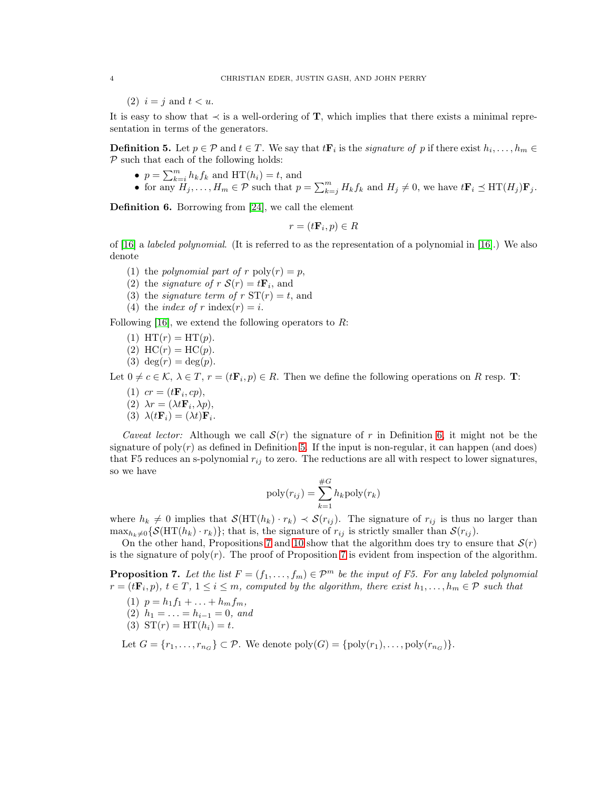(2)  $i = j$  and  $t < u$ .

It is easy to show that  $\prec$  is a well-ordering of **T**, which implies that there exists a minimal representation in terms of the generators.

<span id="page-3-1"></span>**Definition 5.** Let  $p \in \mathcal{P}$  and  $t \in T$ . We say that  $t\mathbf{F}_i$  is the *signature of* p if there exist  $h_i, \ldots, h_m \in$  $P$  such that each of the following holds:

- $p = \sum_{k=i}^{m} h_k f_k$  and  $HT(h_i) = t$ , and
- for any  $H_j, \ldots, H_m \in \mathcal{P}$  such that  $p = \sum_{k=j}^m H_k f_k$  and  $H_j \neq 0$ , we have  $t\mathbf{F}_i \preceq \text{HT}(H_j)\mathbf{F}_j$ .

<span id="page-3-0"></span>Definition 6. Borrowing from [\[24\]](#page-18-5), we call the element

$$
r = (t\mathbf{F}_i, p) \in R
$$

of [\[16\]](#page-18-3) a *labeled polynomial.* (It is referred to as the representation of a polynomial in [16].) We also denote

- (1) the polynomial part of r  $\text{poly}(r) = p$ ,
- (2) the *signature of*  $r S(r) = t \mathbf{F}_i$ , and
- (3) the *signature term of*  $r S T(r) = t$ , and
- (4) the *index of* r index(r) = *i*.

Following  $[16]$ , we extend the following operators to R:

- (1)  $HT(r) = HT(p)$ .
- (2)  $HC(r) = HC(p)$ .
- (3) deg $(r) = \deg(p)$ .

Let  $0 \neq c \in \mathcal{K}, \ \lambda \in T, r = (t\mathbf{F}_i, p) \in R$ . Then we define the following operations on R resp. T:

- (1)  $cr = (t\mathbf{F}_i, cp),$
- (2)  $\lambda r = (\lambda t \mathbf{F}_i, \lambda p),$
- (3)  $\lambda(t\mathbf{F}_i) = (\lambda t)\mathbf{F}_i$ .

Caveat lector: Although we call  $S(r)$  the signature of r in Definition [6,](#page-3-0) it might not be the signature of  $poly(r)$  as defined in Definition [5.](#page-3-1) If the input is non-regular, it can happen (and does) that F5 reduces an s-polynomial  $r_{ij}$  to zero. The reductions are all with respect to lower signatures, so we have

$$
poly(r_{ij}) = \sum_{k=1}^{\#G} h_k poly(r_k)
$$

where  $h_k \neq 0$  implies that  $\mathcal{S}(\text{HT}(h_k) \cdot r_k) \prec \mathcal{S}(r_{ij})$ . The signature of  $r_{ij}$  is thus no larger than  $\max_{h_k\neq0} {\{S(\text{HT}(h_k)\cdot r_k)\}}$ ; that is, the signature of  $r_{ij}$  is strictly smaller than  $S(r_{ij})$ .

On the other hand, Propositions [7](#page-3-2) and [10](#page-4-0) show that the algorithm does try to ensure that  $\mathcal{S}(r)$ is the signature of poly $(r)$ . The proof of Proposition [7](#page-3-2) is evident from inspection of the algorithm.

<span id="page-3-2"></span>**Proposition 7.** Let the list  $F = (f_1, \ldots, f_m) \in \mathcal{P}^m$  be the input of F5. For any labeled polynomial  $r = (t\mathbf{F}_i, p), t \in T, 1 \leq i \leq m$ , computed by the algorithm, there exist  $h_1, \ldots, h_m \in \mathcal{P}$  such that

- (1)  $p = h_1 f_1 + \ldots + h_m f_m$ ,
- (2)  $h_1 = \ldots = h_{i-1} = 0$ , and
- (3)  $ST(r) = HT(h_i) = t$ .

Let  $G = \{r_1, \ldots, r_{n_G}\} \subset \mathcal{P}$ . We denote  $\text{poly}(G) = \{\text{poly}(r_1), \ldots, \text{poly}(r_{n_G})\}.$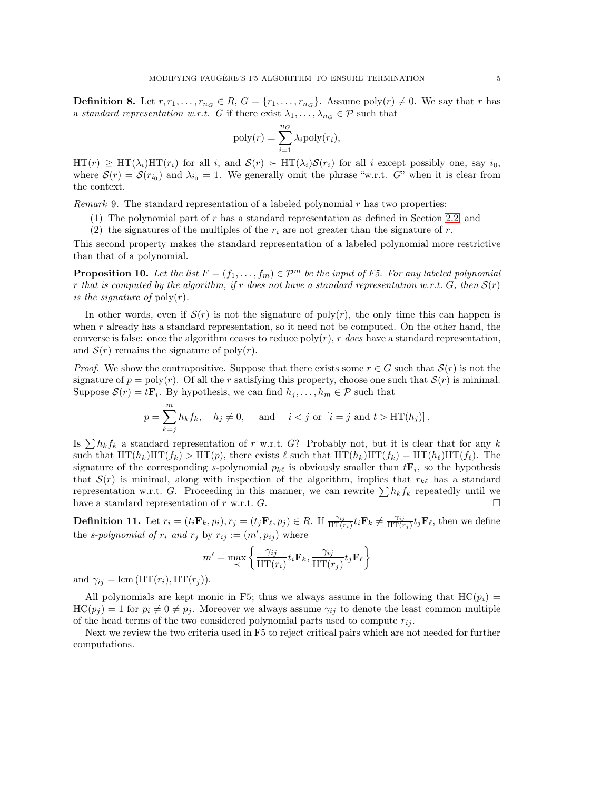**Definition 8.** Let  $r, r_1, \ldots, r_{n_G} \in R$ ,  $G = \{r_1, \ldots, r_{n_G}\}$ . Assume poly $(r) \neq 0$ . We say that r has a standard representation w.r.t. G if there exist  $\lambda_1, \ldots, \lambda_{n_G} \in \mathcal{P}$  such that

$$
poly(r) = \sum_{i=1}^{n_G} \lambda_i poly(r_i),
$$

 $HT(r) \ge HT(\lambda_i)HT(r_i)$  for all i, and  $S(r) \succ HT(\lambda_i)S(r_i)$  for all i except possibly one, say i<sub>0</sub>, where  $\mathcal{S}(r) = \mathcal{S}(r_{i_0})$  and  $\lambda_{i_0} = 1$ . We generally omit the phrase "w.r.t. G" when it is clear from the context.

*Remark* 9. The standard representation of a labeled polynomial r has two properties:

- (1) The polynomial part of r has a standard representation as defined in Section [2.2,](#page-1-2) and
- (2) the signatures of the multiples of the  $r_i$  are not greater than the signature of r.

This second property makes the standard representation of a labeled polynomial more restrictive than that of a polynomial.

<span id="page-4-0"></span>**Proposition 10.** Let the list  $F = (f_1, \ldots, f_m) \in \mathcal{P}^m$  be the input of F5. For any labeled polynomial r that is computed by the algorithm, if r does not have a standard representation w.r.t.  $G$ , then  $S(r)$ is the signature of  $\text{poly}(r)$ .

In other words, even if  $S(r)$  is not the signature of poly $(r)$ , the only time this can happen is when r already has a standard representation, so it need not be computed. On the other hand, the converse is false: once the algorithm ceases to reduce  $poly(r)$ , r does have a standard representation, and  $S(r)$  remains the signature of poly $(r)$ .

*Proof.* We show the contrapositive. Suppose that there exists some  $r \in G$  such that  $\mathcal{S}(r)$  is not the signature of  $p = poly(r)$ . Of all the r satisfying this property, choose one such that  $\mathcal{S}(r)$  is minimal. Suppose  $\mathcal{S}(r) = t\mathbf{F}_i$ . By hypothesis, we can find  $h_j, \ldots, h_m \in \mathcal{P}$  such that

$$
p = \sum_{k=j}^{m} h_k f_k, \quad h_j \neq 0, \quad \text{ and } \quad i < j \text{ or } [i = j \text{ and } t > HT(h_j)].
$$

Is  $\sum h_k f_k$  a standard representation of r w.r.t. G? Probably not, but it is clear that for any k such that  $HT(h_k)HT(f_k) > HT(p)$ , there exists  $\ell$  such that  $HT(h_k)HT(f_k) = HT(h_\ell)HT(f_\ell)$ . The signature of the corresponding s-polynomial  $p_{k\ell}$  is obviously smaller than  $t\mathbf{F}_i$ , so the hypothesis that  $S(r)$  is minimal, along with inspection of the algorithm, implies that  $r_{k\ell}$  has a standard representation w.r.t. G. Proceeding in this manner, we can rewrite  $\sum h_k f_k$  repeatedly until we have a standard representation of r w.r.t.  $G$ .

**Definition 11.** Let  $r_i = (t_i \mathbf{F}_k, p_i), r_j = (t_j \mathbf{F}_\ell, p_j) \in R$ . If  $\frac{\gamma_{ij}}{\text{HT}(r_i)} t_i \mathbf{F}_k \neq \frac{\gamma_{ij}}{\text{HT}(r_i)}$  $\frac{\gamma_{ij}}{\text{HT}(r_j)} t_j \mathbf{F}_{\ell}$ , then we define the s-polynomial of  $r_i$  and  $r_j$  by  $r_{ij} := (m', p_{ij})$  where

$$
m' = \max_{\prec} \left\{ \frac{\gamma_{ij}}{\text{HT}(r_i)} t_i \mathbf{F}_k, \frac{\gamma_{ij}}{\text{HT}(r_j)} t_j \mathbf{F}_\ell \right\}
$$

and  $\gamma_{ij} = \text{lcm}(\text{HT}(r_i), \text{HT}(r_j)).$ 

All polynomials are kept monic in F5; thus we always assume in the following that  $HC(p<sub>i</sub>)$  =  $HC(p_i) = 1$  for  $p_i \neq 0 \neq p_j$ . Moreover we always assume  $\gamma_{ij}$  to denote the least common multiple of the head terms of the two considered polynomial parts used to compute  $r_{ij}$ .

Next we review the two criteria used in F5 to reject critical pairs which are not needed for further computations.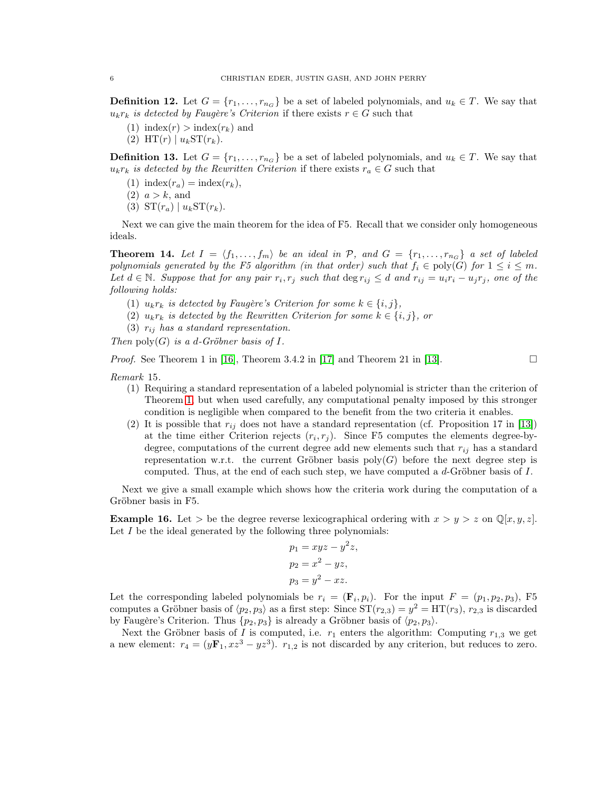**Definition 12.** Let  $G = \{r_1, \ldots, r_{n_G}\}$  be a set of labeled polynomials, and  $u_k \in T$ . We say that  $u_kr_k$  is detected by Faugère's Criterion if there exists  $r \in G$  such that

- (1) index(r) > index(r<sub>k</sub>) and
- (2)  $HT(r) | u_k ST(r_k)$ .

<span id="page-5-0"></span>**Definition 13.** Let  $G = \{r_1, \ldots, r_{n_G}\}$  be a set of labeled polynomials, and  $u_k \in T$ . We say that  $u_kr_k$  is detected by the Rewritten Criterion if there exists  $r_a \in G$  such that

- (1) index( $r_a$ ) = index( $r_k$ ),
- $(2)$   $a > k$ , and
- (3)  $ST(r_a) | u_k ST(r_k)$ .

Next we can give the main theorem for the idea of F5. Recall that we consider only homogeneous ideals.

<span id="page-5-1"></span>**Theorem 14.** Let  $I = \langle f_1, \ldots, f_m \rangle$  be an ideal in P, and  $G = \{r_1, \ldots, r_{n_G}\}$  a set of labeled polynomials generated by the F5 algorithm (in that order) such that  $f_i \in \text{poly}(G)$  for  $1 \leq i \leq m$ . Let  $d \in \mathbb{N}$ . Suppose that for any pair  $r_i, r_j$  such that  $\deg r_{ij} \leq d$  and  $r_{ij} = u_i r_i - u_j r_j$ , one of the following holds:

- (1)  $u_kr_k$  is detected by Faugère's Criterion for some  $k \in \{i, j\},$
- (2)  $u_kr_k$  is detected by the Rewritten Criterion for some  $k \in \{i, j\}$ , or
- (3)  $r_{ij}$  has a standard representation.

Then  $\text{poly}(G)$  is a d-Gröbner basis of I.

*Proof.* See Theorem 1 in [\[16\]](#page-18-3), Theorem 3.4.2 in [\[17\]](#page-18-7) and Theorem 21 in [\[13\]](#page-18-9).

Remark 15.

- (1) Requiring a standard representation of a labeled polynomial is stricter than the criterion of Theorem [1,](#page-2-1) but when used carefully, any computational penalty imposed by this stronger condition is negligible when compared to the benefit from the two criteria it enables.
- (2) It is possible that  $r_{ij}$  does not have a standard representation (cf. Proposition 17 in [\[13\]](#page-18-9)) at the time either Criterion rejects  $(r_i, r_j)$ . Since F5 computes the elements degree-bydegree, computations of the current degree add new elements such that  $r_{ij}$  has a standard representation w.r.t. the current Gröbner basis  $poly(G)$  before the next degree step is computed. Thus, at the end of each such step, we have computed a  $d$ -Gröbner basis of  $I$ .

Next we give a small example which shows how the criteria work during the computation of a Gröbner basis in F5.

**Example 16.** Let  $>$  be the degree reverse lexicographical ordering with  $x > y > z$  on  $\mathbb{Q}[x, y, z]$ . Let  $I$  be the ideal generated by the following three polynomials:

$$
p_1 = xyz - y^2z,
$$
  
\n
$$
p_2 = x^2 - yz,
$$
  
\n
$$
p_3 = y^2 - xz.
$$

Let the corresponding labeled polynomials be  $r_i = (\mathbf{F}_i, p_i)$ . For the input  $F = (p_1, p_2, p_3)$ , F5 computes a Gröbner basis of  $\langle p_2, p_3 \rangle$  as a first step: Since  $ST(r_{2,3}) = y^2 = HT(r_3)$ ,  $r_{2,3}$  is discarded by Faugère's Criterion. Thus  $\{p_2, p_3\}$  is already a Gröbner basis of  $\langle p_2, p_3 \rangle$ .

Next the Gröbner basis of I is computed, i.e.  $r_1$  enters the algorithm: Computing  $r_{1,3}$  we get a new element:  $r_4 = (y\mathbf{F}_1, xz^3 - yz^3)$ .  $r_{1,2}$  is not discarded by any criterion, but reduces to zero.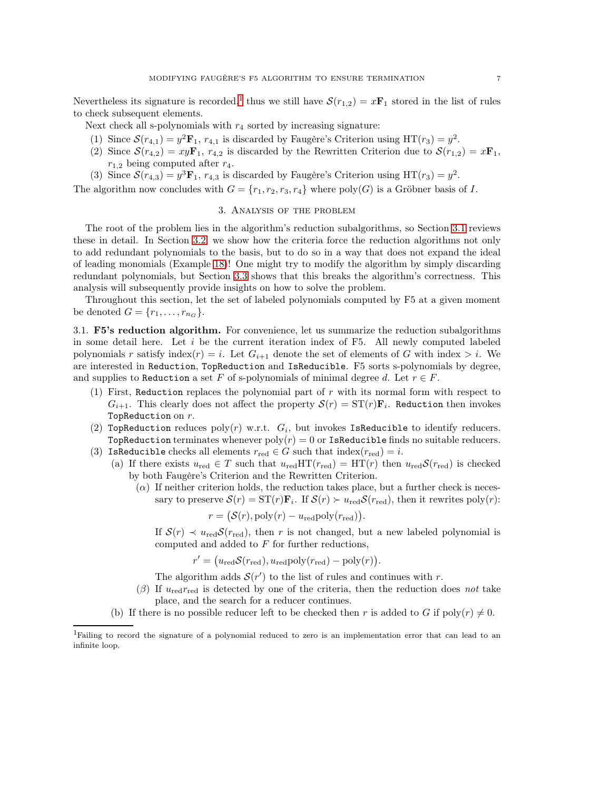Nevertheless its signature is recorded,<sup>[1](#page-6-1)</sup> thus we still have  $\mathcal{S}(r_{1,2}) = x\mathbf{F}_1$  stored in the list of rules to check subsequent elements.

- Next check all s-polynomials with  $r_4$  sorted by increasing signature:
- (1) Since  $S(r_{4,1}) = y^2 \mathbf{F}_1$ ,  $r_{4,1}$  is discarded by Faugère's Criterion using  $HT(r_3) = y^2$ .
- (2) Since  $\mathcal{S}(r_{4,2}) = xy\mathbf{F}_1$ ,  $r_{4,2}$  is discarded by the Rewritten Criterion due to  $\mathcal{S}(r_{1,2}) = x\mathbf{F}_1$ ,  $r_{1,2}$  being computed after  $r_4$ .
- (3) Since  $\mathcal{S}(r_{4,3}) = y^3 \mathbf{F}_1$ ,  $r_{4,3}$  is discarded by Faugère's Criterion using HT( $r_3$ ) =  $y^2$ .

<span id="page-6-0"></span>The algorithm now concludes with  $G = \{r_1, r_2, r_3, r_4\}$  where  $\text{poly}(G)$  is a Gröbner basis of I.

## 3. Analysis of the problem

The root of the problem lies in the algorithm's reduction subalgorithms, so Section [3.1](#page-6-2) reviews these in detail. In Section [3.2,](#page-7-0) we show how the criteria force the reduction algorithms not only to add redundant polynomials to the basis, but to do so in a way that does not expand the ideal of leading monomials (Example [18\)](#page-7-1)! One might try to modify the algorithm by simply discarding redundant polynomials, but Section [3.3](#page-8-2) shows that this breaks the algorithm's correctness. This analysis will subsequently provide insights on how to solve the problem.

Throughout this section, let the set of labeled polynomials computed by F5 at a given moment be denoted  $G = \{r_1, \ldots, r_{n_G}\}.$ 

<span id="page-6-2"></span>3.1. F5's reduction algorithm. For convenience, let us summarize the reduction subalgorithms in some detail here. Let  $i$  be the current iteration index of F5. All newly computed labeled polynomials r satisfy index(r) = i. Let  $G_{i+1}$  denote the set of elements of G with index  $> i$ . We are interested in Reduction, TopReduction and IsReducible. F5 sorts s-polynomials by degree, and supplies to Reduction a set F of s-polynomials of minimal degree d. Let  $r \in F$ .

- (1) First, Reduction replaces the polynomial part of r with its normal form with respect to  $G_{i+1}$ . This clearly does not affect the property  $\mathcal{S}(r) = \mathrm{ST}(r) \mathbf{F}_i$ . Reduction then invokes Top $Reduction on r$ .
- (2) TopReduction reduces  $poly(r)$  w.r.t.  $G_i$ , but invokes IsReducible to identify reducers. TopReduction terminates whenever  $poly(r) = 0$  or IsReducible finds no suitable reducers.
- (3) IsReducible checks all elements  $r_{\text{red}} \in G$  such that  $\text{index}(r_{\text{red}}) = i$ .
	- (a) If there exists  $u_{\text{red}} \in T$  such that  $u_{\text{red}} \text{HT}(r_{\text{red}}) = \text{HT}(r)$  then  $u_{\text{red}} \mathcal{S}(r_{\text{red}})$  is checked by both Faugère's Criterion and the Rewritten Criterion.
		- $(\alpha)$  If neither criterion holds, the reduction takes place, but a further check is necessary to preserve  $\mathcal{S}(r) = \mathrm{ST}(r)\mathbf{F}_i$ . If  $\mathcal{S}(r) > u_{\text{red}}\mathcal{S}(r_{\text{red}})$ , then it rewrites  $\text{poly}(r)$ :

$$
r = (\mathcal{S}(r), \mathrm{poly}(r) - u_{\mathrm{red}} \mathrm{poly}(r_{\mathrm{red}}))
$$

If  $S(r) \prec u_{\text{red}} S(r_{\text{red}})$ , then r is not changed, but a new labeled polynomial is computed and added to F for further reductions,

.

$$
r' = (u_{\text{red}} \mathcal{S}(r_{\text{red}}), u_{\text{red}} \text{poly}(r_{\text{red}}) - \text{poly}(r)).
$$

The algorithm adds  $S(r')$  to the list of rules and continues with r.

- (β) If  $u_{\text{red}} r_{\text{red}}$  is detected by one of the criteria, then the reduction does not take place, and the search for a reducer continues.
- (b) If there is no possible reducer left to be checked then r is added to G if  $poly(r) \neq 0$ .

<span id="page-6-1"></span><sup>1</sup>Failing to record the signature of a polynomial reduced to zero is an implementation error that can lead to an infinite loop.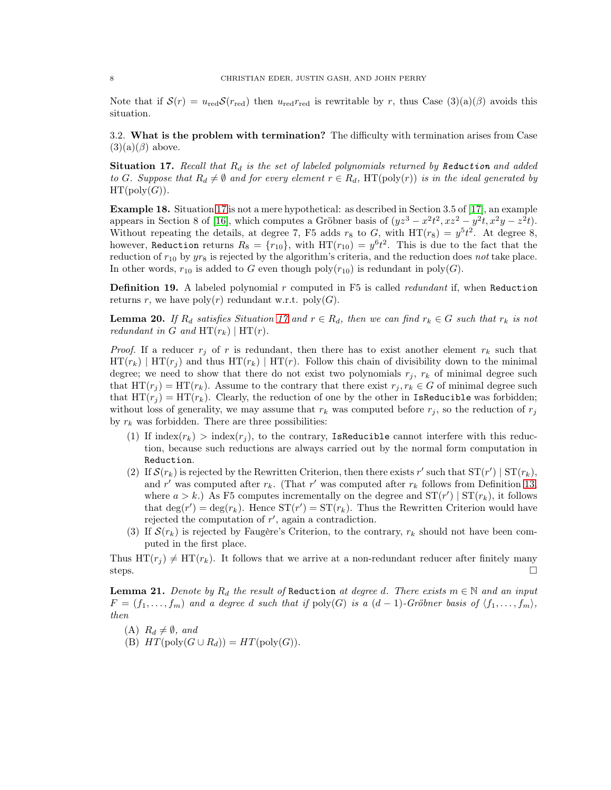Note that if  $S(r) = u_{\text{red}} S(r_{\text{red}})$  then  $u_{\text{red}} r_{\text{red}}$  is rewritable by r, thus Case  $(3)(a)(\beta)$  avoids this situation.

<span id="page-7-0"></span>3.2. What is the problem with termination? The difficulty with termination arises from Case  $(3)(a)(\beta)$  above.

<span id="page-7-2"></span>**Situation 17.** Recall that  $R_d$  is the set of labeled polynomials returned by Reduction and added to G. Suppose that  $R_d \neq \emptyset$  and for every element  $r \in R_d$ , HT(poly(r)) is in the ideal generated by  $HT(poly(G)).$ 

<span id="page-7-1"></span>Example 18. Situation [17](#page-7-2) is not a mere hypothetical: as described in Section 3.5 of [\[17\]](#page-18-7), an example appears in Section 8 of [\[16\]](#page-18-3), which computes a Gröbner basis of  $(yz^3 - x^2t^2, xz^2 - y^2t, x^2y - z^2t)$ . Without repeating the details, at degree 7, F5 adds  $r_8$  to G, with HT( $r_8$ ) =  $y^5t^2$ . At degree 8, however, Reduction returns  $R_8 = \{r_{10}\}\$ , with  $HT(r_{10}) = y^6 t^2$ . This is due to the fact that the reduction of  $r_{10}$  by  $yr_8$  is rejected by the algorithm's criteria, and the reduction does not take place. In other words,  $r_{10}$  is added to G even though poly $(r_{10})$  is redundant in poly $(G)$ .

**Definition 19.** A labeled polynomial  $r$  computed in F5 is called *redundant* if, when Reduction returns r, we have  $\text{poly}(r)$  redundant w.r.t.  $\text{poly}(G)$ .

<span id="page-7-3"></span>**Lemma 20.** If  $R_d$  satisfies Situation [17](#page-7-2) and  $r \in R_d$ , then we can find  $r_k \in G$  such that  $r_k$  is not redundant in G and  $HT(r_k)$  |  $HT(r)$ .

*Proof.* If a reducer  $r_j$  of r is redundant, then there has to exist another element  $r_k$  such that  $HT(r_k)$  |  $HT(r_j)$  and thus  $HT(r_k)$  |  $HT(r)$ . Follow this chain of divisibility down to the minimal degree; we need to show that there do not exist two polynomials  $r_j$ ,  $r_k$  of minimal degree such that  $HT(r_i) = HT(r_k)$ . Assume to the contrary that there exist  $r_i, r_k \in G$  of minimal degree such that  $HT(r_i) = HT(r_k)$ . Clearly, the reduction of one by the other in IsReducible was forbidden; without loss of generality, we may assume that  $r_k$  was computed before  $r_j$ , so the reduction of  $r_j$ by  $r_k$  was forbidden. There are three possibilities:

- (1) If index( $r_k$ ) > index( $r_j$ ), to the contrary, IsReducible cannot interfere with this reduction, because such reductions are always carried out by the normal form computation in Reduction.
- (2) If  $\mathcal{S}(r_k)$  is rejected by the Rewritten Criterion, then there exists r' such that  $ST(r') | ST(r_k)$ , and r' was computed after  $r_k$ . (That r' was computed after  $r_k$  follows from Definition [13,](#page-5-0) where  $a > k$ .) As F5 computes incrementally on the degree and  $ST(r') | ST(r_k)$ , it follows that  $\deg(r') = \deg(r_k)$ . Hence  $ST(r') = ST(r_k)$ . Thus the Rewritten Criterion would have rejected the computation of r', again a contradiction.
- (3) If  $\mathcal{S}(r_k)$  is rejected by Faugère's Criterion, to the contrary,  $r_k$  should not have been computed in the first place.

Thus  $HT(r_i) \neq HT(r_k)$ . It follows that we arrive at a non-redundant reducer after finitely many steps.  $\square$ 

**Lemma 21.** Denote by  $R_d$  the result of Reduction at degree d. There exists  $m \in \mathbb{N}$  and an input  $F = (f_1, \ldots, f_m)$  and a degree d such that if  $\text{poly}(G)$  is a  $(d-1)$ -Gröbner basis of  $\langle f_1, \ldots, f_m \rangle$ , then

- (A)  $R_d \neq \emptyset$ , and
- (B)  $HT(\text{poly}(G \cup R_d)) = HT(\text{poly}(G)).$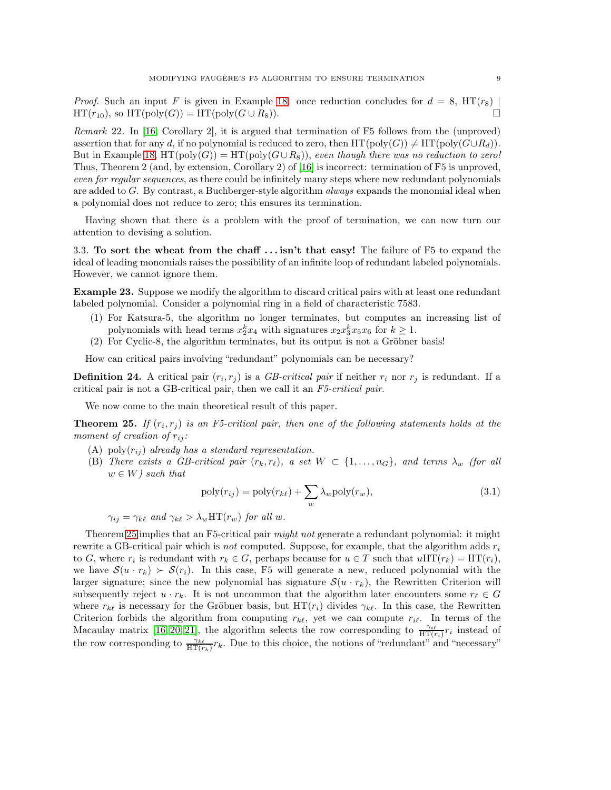*Proof.* Such an input F is given in Example [18:](#page-7-1) once reduction concludes for  $d = 8$ , HT( $r_8$ )  $HT(r_{10}),$  so  $HT(poly(G)) = HT(poly(G \cup R_8)).$ 

<span id="page-8-0"></span>Remark 22. In [\[16,](#page-18-3) Corollary 2], it is argued that termination of F5 follows from the (unproved) assertion that for any d, if no polynomial is reduced to zero, then  $HT(poly(G)) \neq HT(poly(G\cup R_d)).$ But in Example [18,](#page-7-1) HT(poly(G)) = HT(poly( $G \cup R_8$ )), even though there was no reduction to zero! Thus, Theorem 2 (and, by extension, Corollary 2) of [\[16\]](#page-18-3) is incorrect: termination of F5 is unproved, even for regular sequences, as there could be infinitely many steps where new redundant polynomials are added to  $G$ . By contrast, a Buchberger-style algorithm *always* expands the monomial ideal when a polynomial does not reduce to zero; this ensures its termination.

Having shown that there is a problem with the proof of termination, we can now turn our attention to devising a solution.

<span id="page-8-2"></span>3.3. To sort the wheat from the chaff  $\ldots$  isn't that easy! The failure of F5 to expand the ideal of leading monomials raises the possibility of an infinite loop of redundant labeled polynomials. However, we cannot ignore them.

Example 23. Suppose we modify the algorithm to discard critical pairs with at least one redundant labeled polynomial. Consider a polynomial ring in a field of characteristic 7583.

- (1) For Katsura-5, the algorithm no longer terminates, but computes an increasing list of polynomials with head terms  $x_2^k x_4$  with signatures  $x_2 x_3^k x_5 x_6$  for  $k \geq 1$ .
- (2) For Cyclic-8, the algorithm terminates, but its output is not a Gröbner basis!

How can critical pairs involving "redundant" polynomials can be necessary?

**Definition 24.** A critical pair  $(r_i, r_j)$  is a *GB-critical pair* if neither  $r_i$  nor  $r_j$  is redundant. If a critical pair is not a GB-critical pair, then we call it an F5-critical pair.

We now come to the main theoretical result of this paper.

<span id="page-8-1"></span>**Theorem 25.** If  $(r_i, r_j)$  is an F5-critical pair, then one of the following statements holds at the moment of creation of  $r_{ij}$ :

- (A) poly $(r_{ij})$  already has a standard representation.
- (B) There exists a GB-critical pair  $(r_k, r_\ell)$ , a set  $W \subset \{1, \ldots, n_G\}$ , and terms  $\lambda_w$  (for all  $w \in W$ ) such that

<span id="page-8-3"></span>
$$
poly(r_{ij}) = poly(r_{k\ell}) + \sum_{w} \lambda_w poly(r_w),
$$
\n(3.1)

 $\gamma_{ij} = \gamma_{k\ell}$  and  $\gamma_{k\ell} > \lambda_w \text{HT}(r_w)$  for all w.

Theorem [25](#page-8-1) implies that an F5-critical pair might not generate a redundant polynomial: it might rewrite a GB-critical pair which is not computed. Suppose, for example, that the algorithm adds  $r_i$ to G, where  $r_i$  is redundant with  $r_k \in G$ , perhaps because for  $u \in T$  such that  $uHT(r_k) = HT(r_i)$ , we have  $S(u \cdot r_k) > S(r_i)$ . In this case, F5 will generate a new, reduced polynomial with the larger signature; since the new polynomial has signature  $\mathcal{S}(u \cdot r_k)$ , the Rewritten Criterion will subsequently reject  $u \cdot r_k$ . It is not uncommon that the algorithm later encounters some  $r_\ell \in G$ where  $r_{k\ell}$  is necessary for the Gröbner basis, but  $HT(r_i)$  divides  $\gamma_{k\ell}$ . In this case, the Rewritten Criterion forbids the algorithm from computing  $r_{k\ell}$ , yet we can compute  $r_{i\ell}$ . In terms of the Macaulay matrix [\[16,](#page-18-3) [20,](#page-18-6) [21\]](#page-18-10), the algorithm selects the row corresponding to  $\frac{\gamma_{i\ell}}{\text{HT}(r_i)} r_i$  instead of the row corresponding to  $\frac{\gamma_{k\ell}}{\text{HT}(r_k)} r_k$ . Due to this choice, the notions of "redundant" and "necessary"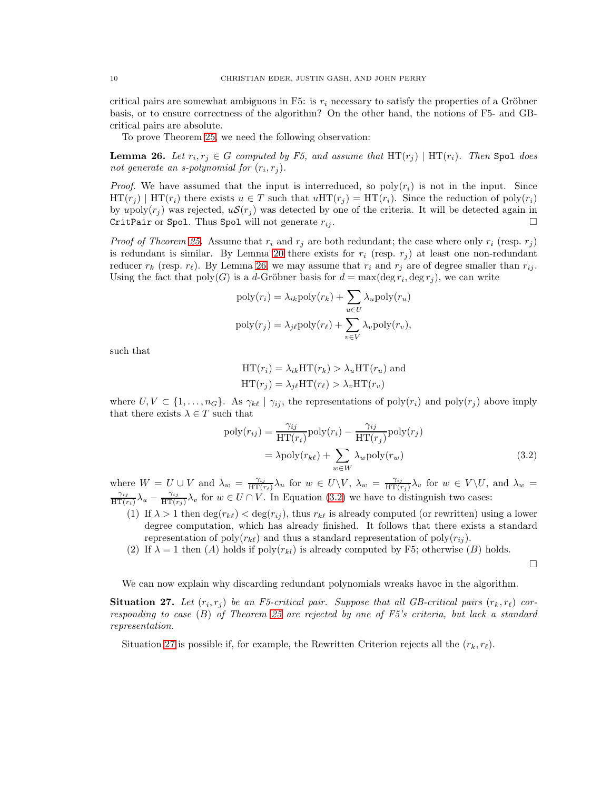critical pairs are somewhat ambiguous in F5: is  $r_i$  necessary to satisfy the properties of a Gröbner basis, or to ensure correctness of the algorithm? On the other hand, the notions of F5- and GBcritical pairs are absolute.

To prove Theorem [25,](#page-8-1) we need the following observation:

<span id="page-9-0"></span>**Lemma 26.** Let  $r_i, r_j \in G$  computed by F5, and assume that  $HT(r_j)$  |  $HT(r_i)$ . Then Spol does not generate an s-polynomial for  $(r_i, r_j)$ .

*Proof.* We have assumed that the input is interreduced, so poly $(r_i)$  is not in the input. Since  $\text{HT}(r_i) \mid \text{HT}(r_i)$  there exists  $u \in T$  such that  $u\text{HT}(r_i) = \text{HT}(r_i)$ . Since the reduction of poly $(r_i)$ by upoly $(r_i)$  was rejected,  $uS(r_i)$  was detected by one of the criteria. It will be detected again in CritPair or Spol. Thus Spol will not generate  $r_{ij}$ .

*Proof of Theorem [25.](#page-8-1)* Assume that  $r_i$  and  $r_j$  are both redundant; the case where only  $r_i$  (resp.  $r_j$ ) is redundant is similar. By Lemma [20](#page-7-3) there exists for  $r_i$  (resp.  $r_j$ ) at least one non-redundant reducer  $r_k$  (resp.  $r_\ell$ ). By Lemma [26,](#page-9-0) we may assume that  $r_i$  and  $r_j$  are of degree smaller than  $r_{ij}$ . Using the fact that  $\text{poly}(G)$  is a d-Gröbner basis for  $d = \max(\deg r_i, \deg r_j)$ , we can write

$$
poly(r_i) = \lambda_{ik} poly(r_k) + \sum_{u \in U} \lambda_u poly(r_u)
$$

$$
poly(r_j) = \lambda_{j\ell} poly(r_\ell) + \sum_{v \in V} \lambda_v poly(r_v),
$$

such that

$$
HT(r_i) = \lambda_{ik} HT(r_k) > \lambda_u HT(r_u)
$$
 and  

$$
HT(r_j) = \lambda_{j\ell} HT(r_{\ell}) > \lambda_v HT(r_v)
$$

where  $U, V \subset \{1, \ldots, n_G\}$ . As  $\gamma_{k\ell} \mid \gamma_{ij}$ , the representations of poly $(r_i)$  and poly $(r_i)$  above imply that there exists  $\lambda \in T$  such that

$$
poly(r_{ij}) = \frac{\gamma_{ij}}{\text{HT}(r_i)} \text{poly}(r_i) - \frac{\gamma_{ij}}{\text{HT}(r_j)} \text{poly}(r_j)
$$
  
=  $\lambda \text{poly}(r_{k\ell}) + \sum_{w \in W} \lambda_w \text{poly}(r_w)$  (3.2)

where  $W = U \cup V$  and  $\lambda_w = \frac{\gamma_{ij}}{HT(r)}$  $\frac{\gamma_{ij}}{\text{HT}(r_i)}\lambda_u$  for  $w \in U\backslash V$ ,  $\lambda_w = \frac{\gamma_{ij}}{\text{HT}(r_i)}$  $\frac{\gamma_{ij}}{\text{HT}(r_j)}\lambda_v$  for  $w \in V\backslash U$ , and  $\lambda_w =$  $\gamma_{ij}$  $\frac{\gamma_{ij}}{\text{HT}(r_i)}\lambda_u - \frac{\gamma_{ij}}{\text{HT}(r_i)}$  $\frac{\gamma_{ij}}{\text{HT}(r_j)}\lambda_v$  for  $w \in U \cap V$ . In Equation [\(3.2\)](#page-9-1) we have to distinguish two cases:

- (1) If  $\lambda > 1$  then  $\deg(r_{k\ell}) < \deg(r_{ij})$ , thus  $r_{k\ell}$  is already computed (or rewritten) using a lower degree computation, which has already finished. It follows that there exists a standard representation of  $\text{poly}(r_{k\ell})$  and thus a standard representation of  $\text{poly}(r_{ij})$ .
- (2) If  $\lambda = 1$  then (A) holds if poly $(r_{kl})$  is already computed by F5; otherwise (B) holds.

<span id="page-9-1"></span> $\Box$ 

We can now explain why discarding redundant polynomials wreaks havoe in the algorithm.

<span id="page-9-2"></span>**Situation 27.** Let  $(r_i, r_j)$  be an F5-critical pair. Suppose that all GB-critical pairs  $(r_k, r_\ell)$  corresponding to case (B) of Theorem [25](#page-8-1) are rejected by one of F5's criteria, but lack a standard representation.

Situation [27](#page-9-2) is possible if, for example, the Rewritten Criterion rejects all the  $(r_k, r_\ell)$ .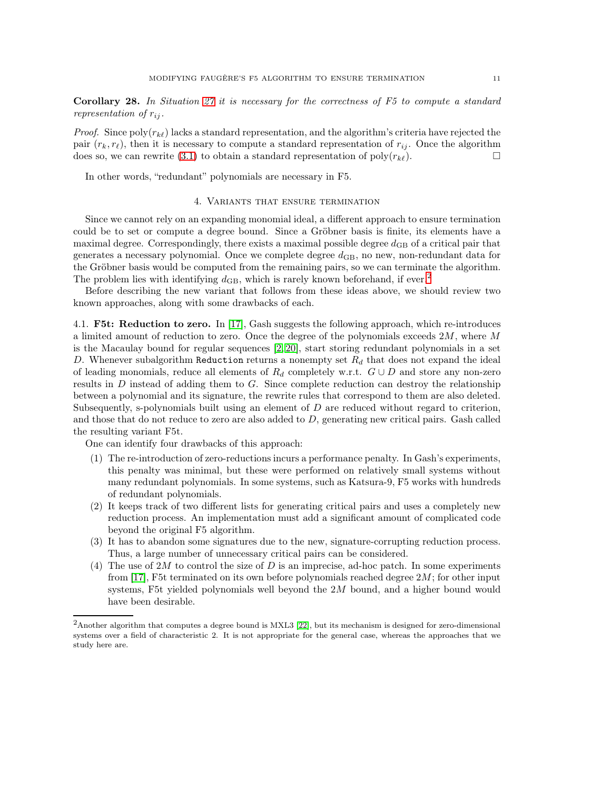Corollary 28. In Situation [27](#page-9-2) it is necessary for the correctness of F5 to compute a standard representation of  $r_{ij}$ .

*Proof.* Since  $poly(r_{k\ell})$  lacks a standard representation, and the algorithm's criteria have rejected the pair  $(r_k, r_\ell)$ , then it is necessary to compute a standard representation of  $r_{ij}$ . Once the algorithm does so, we can rewrite [\(3.1\)](#page-8-3) to obtain a standard representation of  $\text{poly}(r_{k\ell})$ .

In other words, "redundant" polynomials are necessary in F5.

# 4. Variants that ensure termination

Since we cannot rely on an expanding monomial ideal, a different approach to ensure termination could be to set or compute a degree bound. Since a Gröbner basis is finite, its elements have a maximal degree. Correspondingly, there exists a maximal possible degree  $d_{\text{GB}}$  of a critical pair that generates a necessary polynomial. Once we complete degree  $d_{GB}$ , no new, non-redundant data for the Gröbner basis would be computed from the remaining pairs, so we can terminate the algorithm. The problem lies with identifying  $d_{\text{GB}}$ , which is rarely known beforehand, if ever.<sup>[2](#page-10-1)</sup>

Before describing the new variant that follows from these ideas above, we should review two known approaches, along with some drawbacks of each.

<span id="page-10-0"></span>4.1. F5t: Reduction to zero. In  $[17]$ , Gash suggests the following approach, which re-introduces a limited amount of reduction to zero. Once the degree of the polynomials exceeds  $2M$ , where M is the Macaulay bound for regular sequences [\[2,](#page-17-5) [20\]](#page-18-6), start storing redundant polynomials in a set D. Whenever subalgorithm Reduction returns a nonempty set  $R_d$  that does not expand the ideal of leading monomials, reduce all elements of  $R_d$  completely w.r.t.  $G \cup D$  and store any non-zero results in  $D$  instead of adding them to  $G$ . Since complete reduction can destroy the relationship between a polynomial and its signature, the rewrite rules that correspond to them are also deleted. Subsequently, s-polynomials built using an element of  $D$  are reduced without regard to criterion, and those that do not reduce to zero are also added to D, generating new critical pairs. Gash called the resulting variant F5t.

One can identify four drawbacks of this approach:

- (1) The re-introduction of zero-reductions incurs a performance penalty. In Gash's experiments, this penalty was minimal, but these were performed on relatively small systems without many redundant polynomials. In some systems, such as Katsura-9, F5 works with hundreds of redundant polynomials.
- (2) It keeps track of two different lists for generating critical pairs and uses a completely new reduction process. An implementation must add a significant amount of complicated code beyond the original F5 algorithm.
- (3) It has to abandon some signatures due to the new, signature-corrupting reduction process. Thus, a large number of unnecessary critical pairs can be considered.
- (4) The use of 2M to control the size of D is an imprecise, ad-hoc patch. In some experiments from [\[17\]](#page-18-7), F5t terminated on its own before polynomials reached degree  $2M$ ; for other input systems, F5t yielded polynomials well beyond the 2M bound, and a higher bound would have been desirable.

<span id="page-10-1"></span><sup>2</sup>Another algorithm that computes a degree bound is MXL3 [\[22\]](#page-18-11), but its mechanism is designed for zero-dimensional systems over a field of characteristic 2. It is not appropriate for the general case, whereas the approaches that we study here are.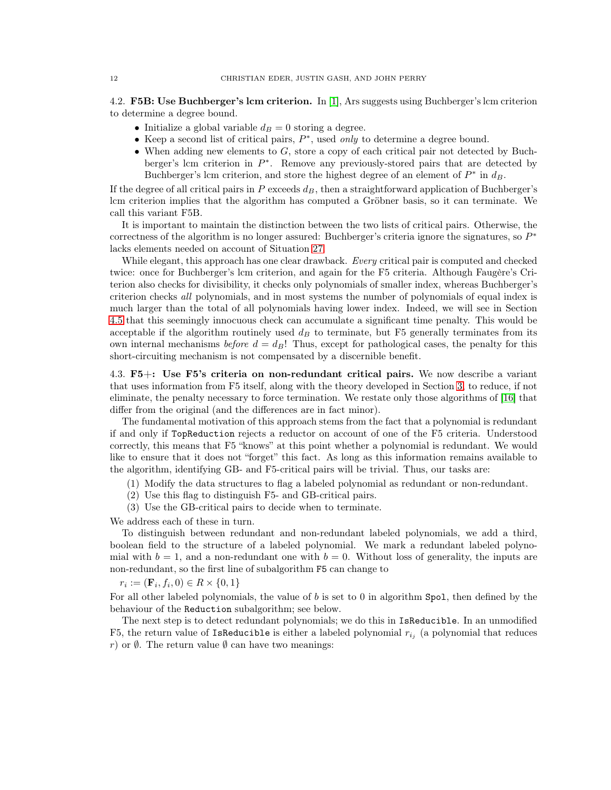<span id="page-11-0"></span>4.2. F5B: Use Buchberger's lcm criterion. In [\[1\]](#page-17-6), Ars suggests using Buchberger's lcm criterion to determine a degree bound.

- <span id="page-11-2"></span>• Initialize a global variable  $d_B = 0$  storing a degree.
- Keep a second list of critical pairs,  $P^*$ , used *only* to determine a degree bound.
- When adding new elements to  $G$ , store a copy of each critical pair not detected by Buchberger's lcm criterion in  $P^*$ . Remove any previously-stored pairs that are detected by Buchberger's lcm criterion, and store the highest degree of an element of  $P^*$  in  $d_B$ .

If the degree of all critical pairs in  $P$  exceeds  $d<sub>B</sub>$ , then a straightforward application of Buchberger's lcm criterion implies that the algorithm has computed a Gröbner basis, so it can terminate. We call this variant F5B.

It is important to maintain the distinction between the two lists of critical pairs. Otherwise, the correctness of the algorithm is no longer assured: Buchberger's criteria ignore the signatures, so  $P^*$ lacks elements needed on account of Situation [27.](#page-9-2)

While elegant, this approach has one clear drawback. Every critical pair is computed and checked twice: once for Buchberger's lcm criterion, and again for the F5 criteria. Although Faugère's Criterion also checks for divisibility, it checks only polynomials of smaller index, whereas Buchberger's criterion checks all polynomials, and in most systems the number of polynomials of equal index is much larger than the total of all polynomials having lower index. Indeed, we will see in Section [4.5](#page-15-0) that this seemingly innocuous check can accumulate a significant time penalty. This would be acceptable if the algorithm routinely used  $d_B$  to terminate, but F5 generally terminates from its own internal mechanisms before  $d = d_B!$  Thus, except for pathological cases, the penalty for this short-circuiting mechanism is not compensated by a discernible benefit.

<span id="page-11-1"></span>4.3. F5+: Use F5's criteria on non-redundant critical pairs. We now describe a variant that uses information from F5 itself, along with the theory developed in Section [3,](#page-6-0) to reduce, if not eliminate, the penalty necessary to force termination. We restate only those algorithms of [\[16\]](#page-18-3) that differ from the original (and the differences are in fact minor).

The fundamental motivation of this approach stems from the fact that a polynomial is redundant if and only if TopReduction rejects a reductor on account of one of the F5 criteria. Understood correctly, this means that F5 "knows" at this point whether a polynomial is redundant. We would like to ensure that it does not "forget" this fact. As long as this information remains available to the algorithm, identifying GB- and F5-critical pairs will be trivial. Thus, our tasks are:

- (1) Modify the data structures to flag a labeled polynomial as redundant or non-redundant.
- (2) Use this flag to distinguish F5- and GB-critical pairs.
- (3) Use the GB-critical pairs to decide when to terminate.

We address each of these in turn.

To distinguish between redundant and non-redundant labeled polynomials, we add a third, boolean field to the structure of a labeled polynomial. We mark a redundant labeled polynomial with  $b = 1$ , and a non-redundant one with  $b = 0$ . Without loss of generality, the inputs are non-redundant, so the first line of subalgorithm F5 can change to

 $r_i := (\mathbf{F}_i, f_i, 0) \in R \times \{0, 1\}$ 

For all other labeled polynomials, the value of b is set to 0 in algorithm Spol, then defined by the behaviour of the Reduction subalgorithm; see below.

The next step is to detect redundant polynomials; we do this in IsReducible. In an unmodified F5, the return value of IsReducible is either a labeled polynomial  $r_{i_j}$  (a polynomial that reduces r) or  $\emptyset$ . The return value  $\emptyset$  can have two meanings: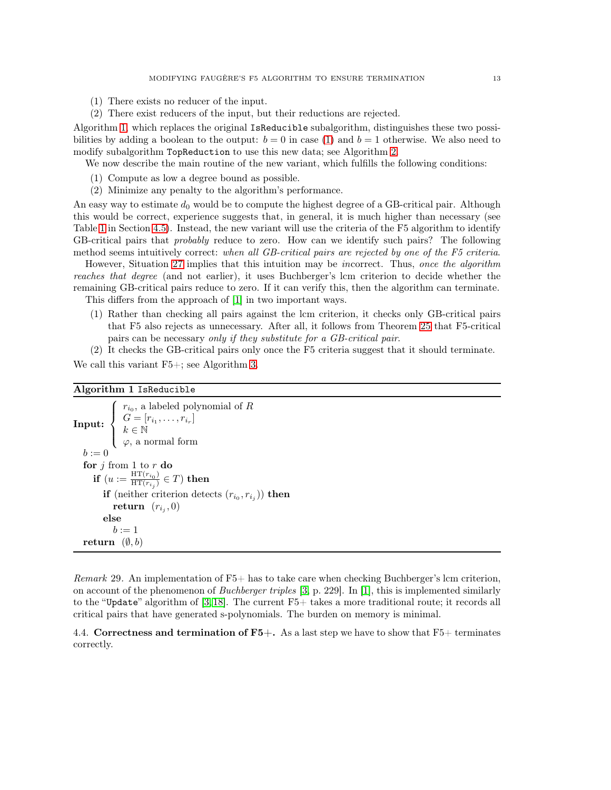- <span id="page-12-2"></span>(1) There exists no reducer of the input.
- (2) There exist reducers of the input, but their reductions are rejected.

Algorithm [1,](#page-12-1) which replaces the original IsReducible subalgorithm, distinguishes these two possibilities by adding a boolean to the output:  $b = 0$  in case [\(1\)](#page-12-2) and  $b = 1$  otherwise. We also need to modify subalgorithm TopReduction to use this new data; see Algorithm [2.](#page-13-0)

We now describe the main routine of the new variant, which fulfills the following conditions:

- (1) Compute as low a degree bound as possible.
- (2) Minimize any penalty to the algorithm's performance.

An easy way to estimate  $d_0$  would be to compute the highest degree of a GB-critical pair. Although this would be correct, experience suggests that, in general, it is much higher than necessary (see Table [1](#page-16-0) in Section [4.5\)](#page-15-0). Instead, the new variant will use the criteria of the F5 algorithm to identify GB-critical pairs that *probably* reduce to zero. How can we identify such pairs? The following method seems intuitively correct: when all GB-critical pairs are rejected by one of the F5 criteria.

However, Situation [27](#page-9-2) implies that this intuition may be incorrect. Thus, once the algorithm reaches that degree (and not earlier), it uses Buchberger's lcm criterion to decide whether the remaining GB-critical pairs reduce to zero. If it can verify this, then the algorithm can terminate.

This differs from the approach of [\[1\]](#page-17-6) in two important ways.

- (1) Rather than checking all pairs against the lcm criterion, it checks only GB-critical pairs that F5 also rejects as unnecessary. After all, it follows from Theorem [25](#page-8-1) that F5-critical pairs can be necessary only if they substitute for a GB-critical pair.
- (2) It checks the GB-critical pairs only once the F5 criteria suggest that it should terminate.

We call this variant  $F5+$ ; see Algorithm [3.](#page-14-0)

## <span id="page-12-1"></span>Algorithm 1 IsReducible

Input:  $\sqrt{ }$  $\int$  $\overline{\mathcal{L}}$  $r_{i_0}$ , a labeled polynomial of R  $G = [r_{i_1}, \ldots, r_{i_r}]$  $k \in \mathbb{N}$  $\varphi$ , a normal form  $b := 0$ for  $j$  from 1 to  $r$  do if  $(u := \frac{\text{HT}(r_{i_0})}{\text{HT}(r_{i_0})}$  $\frac{\ln \Gamma\left( r_{i_{0}}\right) }{\mathrm{HT}\left( r_{i_{j}}\right) } \in T)$  then if (neither criterion detects  $(r_{i_0}, r_{i_j})$ ) then  $\mathbf{return}\;\; (r_{i_j},0)$ else  $b := 1$ return  $(\emptyset, b)$ 

*Remark* 29. An implementation of  $F5+$  has to take care when checking Buchberger's lcm criterion, on account of the phenomenon of *Buchberger triples* [\[3,](#page-17-8) p. 229]. In [\[1\]](#page-17-6), this is implemented similarly to the "Update" algorithm of [\[3,](#page-17-8) [18\]](#page-18-1). The current F5+ takes a more traditional route; it records all critical pairs that have generated s-polynomials. The burden on memory is minimal.

<span id="page-12-0"></span>4.4. Correctness and termination of  $\text{F5+}$ . As a last step we have to show that  $\text{F5+}$  terminates correctly.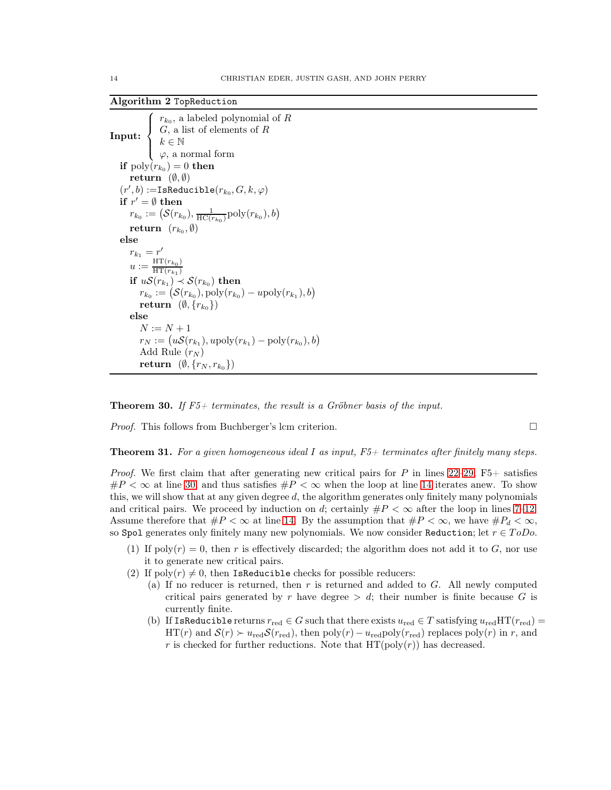<span id="page-13-0"></span>Algorithm 2 TopReduction

```
Input:
       \sqrt{ }\int\left\downarrow \varphi, a normal form
             r_{k_0}, a labeled polynomial of R
             G, a list of elements of Rk \in \mathbb{N}if \mathrm{poly}(r_{k_0})=0 then
return (\emptyset, \emptyset)(r', b) :=IsReducible(r_{k_0}, G, k, \varphi)if r' = \emptyset then
 r_{k_0} := \left( \mathcal{S}(r_{k_0}), \frac{1}{\text{HC}(r_{k_0})} \text{poly}(r_{k_0}), b \right)return (r_{k_0}, \emptyset)else
 r_{k_1}=r'u := \frac{\text{HT}(r_{k_0})}{\text{HT}(r_{k_0})}HT(r_{k_1})if uS(r_{k_1}) \prec S(r_{k_0}) then
     r_{k_0} := (\mathcal{S}(r_{k_0}), \text{poly}(r_{k_0}) - u \text{poly}(r_{k_1}), b)\textbf{return} \ \ (\emptyset, \{r_{k_0}\})else
     N := N + 1r_N := (uS(r_{k_1}), u \text{poly}(r_{k_1}) - \text{poly}(r_{k_0}), b)Add Rule (r_N)return (\emptyset, \{r_N, r_{k_0}\})
```
**Theorem 30.** If  $F5+$  terminates, the result is a Gröbner basis of the input.

*Proof.* This follows from Buchberger's lcm criterion.  $\square$ 

**Theorem 31.** For a given homogeneous ideal I as input,  $F5+$  terminates after finitely many steps.

*Proof.* We first claim that after generating new critical pairs for P in lines  $22-29$ ,  $F5+$  satisfies  $\#P < \infty$  at line [30,](#page-14-3) and thus satisfies  $\#P < \infty$  when the loop at line [14](#page-14-4) iterates anew. To show this, we will show that at any given degree  $d$ , the algorithm generates only finitely many polynomials and critical pairs. We proceed by induction on d; certainly  $\#P < \infty$  after the loop in lines [7–](#page-14-5)[12.](#page-14-6) Assume therefore that  $\#P < \infty$  at line [14.](#page-14-4) By the assumption that  $\#P < \infty$ , we have  $\#P_d < \infty$ , so Spol generates only finitely many new polynomials. We now consider Reduction; let  $r \in T_oDo$ .

- (1) If poly $(r) = 0$ , then r is effectively discarded; the algorithm does not add it to G, nor use it to generate new critical pairs.
- (2) If  $poly(r) \neq 0$ , then IsReducible checks for possible reducers:
	- (a) If no reducer is returned, then  $r$  is returned and added to  $G$ . All newly computed critical pairs generated by r have degree  $> d$ ; their number is finite because G is currently finite.
	- (b) If IsReducible returns  $r_{\text{red}} \in G$  such that there exists  $u_{\text{red}} \in T$  satisfying  $u_{\text{red}}HT(r_{\text{red}})$ HT(r) and  $S(r) \succ u_{\text{red}} S(r_{\text{red}})$ , then  $\text{poly}(r) - u_{\text{red}} \text{poly}(r_{\text{red}})$  replaces  $\text{poly}(r)$  in r, and r is checked for further reductions. Note that  $HT(poly(r))$  has decreased.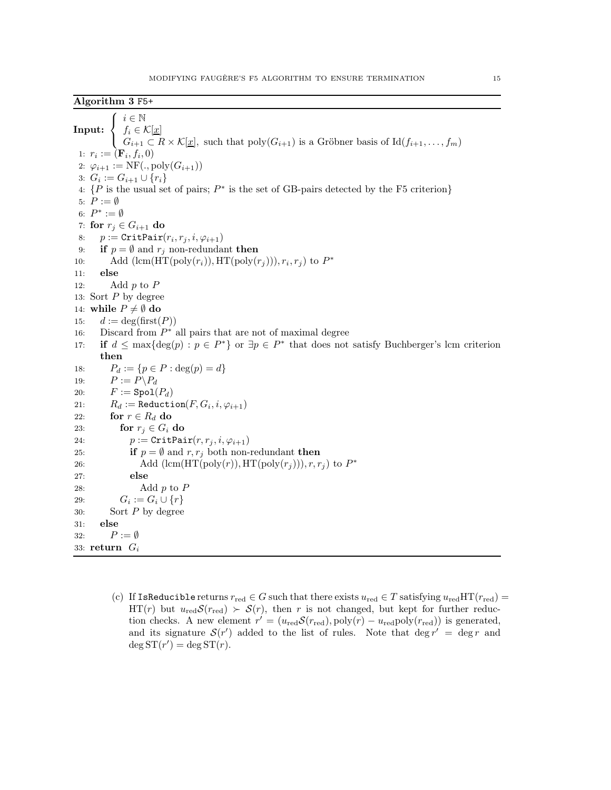<span id="page-14-6"></span><span id="page-14-5"></span><span id="page-14-4"></span><span id="page-14-0"></span>Input:  $\sqrt{ }$ <sup>J</sup>  $\mathcal{L}$  $i \in \mathbb{N}$  $f_i \in \mathcal{K}[\underline{x}]$  $G_{i+1} \subset R \times \mathcal{K}[\underline{x}]$ , such that  $\text{poly}(G_{i+1})$  is a Gröbner basis of  $\text{Id}(f_{i+1}, \ldots, f_m)$ 1:  $r_i := (\mathbf{F}_i, f_i, 0)$ 2:  $\varphi_{i+1} := \text{NF}(., \text{poly}(G_{i+1}))$ 3:  $G_i := G_{i+1} \cup \{r_i\}$ 4:  $\{P \text{ is the usual set of pairs; } P^* \text{ is the set of GB-pairs detected by the F5 criterion}\}$ 5:  $P := \emptyset$ 6:  $P^* := \emptyset$ 7: for  $r_i \in G_{i+1}$  do 8:  $p := \text{CritPair}(r_i, r_j, i, \varphi_{i+1})$ 9: if  $p = \emptyset$  and  $r_j$  non-redundant then 10: Add  $(\text{lcm}(\text{HT}(\text{poly}(r_i)), \text{HT}(\text{poly}(r_j))), r_i, r_j)$  to  $P^*$ 11: else 12: Add  $p$  to  $P$ 13: Sort P by degree 14: while  $P \neq \emptyset$  do 15:  $d := \deg(\text{first}(P))$ 16: Discard from  $P^*$  all pairs that are not of maximal degree 17: if  $d \leq \max\{\deg(p) : p \in P^*\}$  or  $\exists p \in P^*$  that does not satisfy Buchberger's lcm criterion then 18:  $P_d := \{p \in P : \deg(p) = d\}$ 19:  $P := P \backslash P_d$ 20:  $F := \text{Spol}(P_d)$ 21:  $R_d := \text{Reduction}(F, G_i, i, \varphi_{i+1})$ 22: for  $r \in R_d$  do 23: for  $r_i \in G_i$  do 24:  $p := \text{CritPair}(r, r_i, i, \varphi_{i+1})$ 25: **if**  $p = \emptyset$  and  $r, r_j$  both non-redundant then 26: Add  $(\text{lcm}(\text{HT}(\text{poly}(r)), \text{HT}(\text{poly}(r_j))), r, r_j)$  to  $P^*$ 27: else 28: Add  $p$  to  $P$ 29:  $G_i := G_i \cup \{r\}$ 30: Sort P by degree 31: else 32:  $P := \emptyset$ 33: return  $G_i$ 

<span id="page-14-3"></span><span id="page-14-2"></span><span id="page-14-1"></span>(c) If IsReducible returns  $r_{\text{red}} \in G$  such that there exists  $u_{\text{red}} \in T$  satisfying  $u_{\text{red}}HT(r_{\text{red}})$  = HT(r) but  $u_{\text{red}}\mathcal{S}(r_{\text{red}}) > \mathcal{S}(r)$ , then r is not changed, but kept for further reduction checks. A new element  $r' = (u_{\text{red}} S(r_{\text{red}}), \text{poly}(r) - u_{\text{red}} \text{poly}(r_{\text{red}}))$  is generated, and its signature  $\mathcal{S}(r')$  added to the list of rules. Note that  $\deg r' = \deg r$  and  $\deg ST(r') = \deg ST(r).$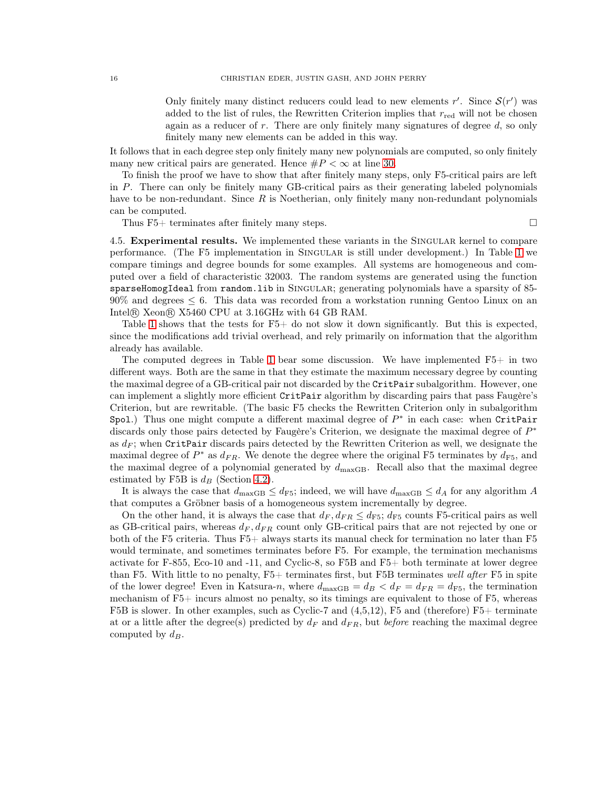Only finitely many distinct reducers could lead to new elements  $r'$ . Since  $\mathcal{S}(r')$  was added to the list of rules, the Rewritten Criterion implies that  $r_{\text{red}}$  will not be chosen again as a reducer of  $r$ . There are only finitely many signatures of degree  $d$ , so only finitely many new elements can be added in this way.

It follows that in each degree step only finitely many new polynomials are computed, so only finitely many new critical pairs are generated. Hence  $\#P < \infty$  at line [30.](#page-14-3)

To finish the proof we have to show that after finitely many steps, only F5-critical pairs are left in P. There can only be finitely many GB-critical pairs as their generating labeled polynomials have to be non-redundant. Since  $R$  is Noetherian, only finitely many non-redundant polynomials can be computed.

Thus F5+ terminates after finitely many steps.  $\square$ 

<span id="page-15-0"></span>4.5. Experimental results. We implemented these variants in the SINGULAR kernel to compare performance. (The F5 implementation in Singular is still under development.) In Table [1](#page-16-0) we

compare timings and degree bounds for some examples. All systems are homogeneous and computed over a field of characteristic 32003. The random systems are generated using the function sparseHomogIdeal from random.lib in SINGULAR; generating polynomials have a sparsity of 85-90% and degrees ≤ 6. This data was recorded from a workstation running Gentoo Linux on an Intel <sup>R</sup> Xeon <sup>R</sup> X5460 CPU at 3.16GHz with 64 GB RAM.

Table [1](#page-16-0) shows that the tests for  $F5+$  do not slow it down significantly. But this is expected, since the modifications add trivial overhead, and rely primarily on information that the algorithm already has available.

The computed degrees in Table [1](#page-16-0) bear some discussion. We have implemented  $F5+$  in two different ways. Both are the same in that they estimate the maximum necessary degree by counting the maximal degree of a GB-critical pair not discarded by the CritPair subalgorithm. However, one can implement a slightly more efficient CritPair algorithm by discarding pairs that pass Faugère's Criterion, but are rewritable. (The basic F5 checks the Rewritten Criterion only in subalgorithm Spol.) Thus one might compute a different maximal degree of  $P^*$  in each case: when CritPair discards only those pairs detected by Faugère's Criterion, we designate the maximal degree of  $P^*$ as  $d_F$ ; when CritPair discards pairs detected by the Rewritten Criterion as well, we designate the maximal degree of  $P^*$  as  $d_{FR}$ . We denote the degree where the original F5 terminates by  $d_{F5}$ , and the maximal degree of a polynomial generated by  $d_{\text{maxGB}}$ . Recall also that the maximal degree estimated by F5B is  $d_B$  (Section [4.2\)](#page-11-0).

It is always the case that  $d_{\text{maxGB}} \leq d_{\text{FS}}$ ; indeed, we will have  $d_{\text{maxGB}} \leq d_A$  for any algorithm A that computes a Gröbner basis of a homogeneous system incrementally by degree.

On the other hand, it is always the case that  $d_F, d_{FR} \leq d_{FS}$ ;  $d_{FS}$  counts F5-critical pairs as well as GB-critical pairs, whereas  $d_F, d_{FR}$  count only GB-critical pairs that are not rejected by one or both of the F5 criteria. Thus F5+ always starts its manual check for termination no later than F5 would terminate, and sometimes terminates before F5. For example, the termination mechanisms activate for F-855, Eco-10 and -11, and Cyclic-8, so F5B and F5+ both terminate at lower degree than F5. With little to no penalty, F5+ terminates first, but F5B terminates well after F5 in spite of the lower degree! Even in Katsura-n, where  $d_{\text{maxGB}} = d_B < d_F = d_{FR} = d_{F5}$ , the termination mechanism of F5+ incurs almost no penalty, so its timings are equivalent to those of F5, whereas F5B is slower. In other examples, such as Cyclic-7 and (4,5,12), F5 and (therefore) F5+ terminate at or a little after the degree(s) predicted by  $d_F$  and  $d_{FR}$ , but before reaching the maximal degree computed by  $d_B$ .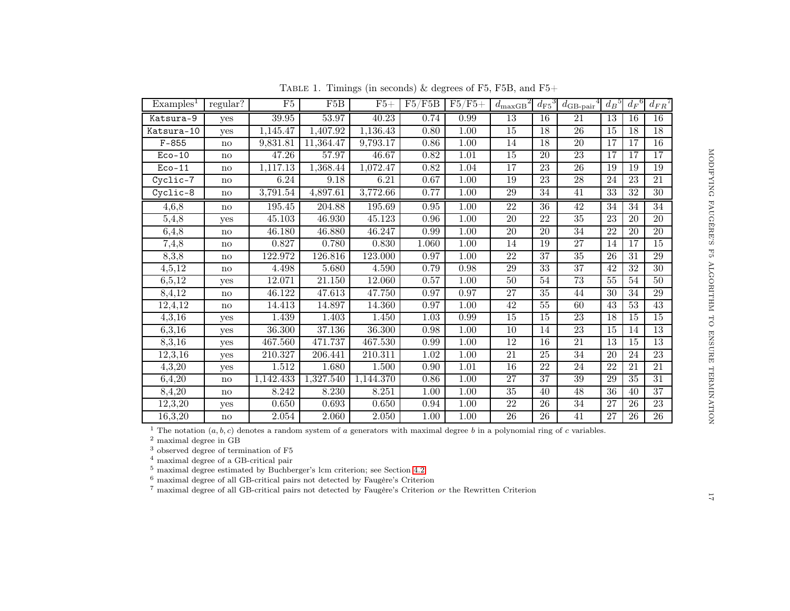<span id="page-16-0"></span>

| $\frac{6}{6} \cdot \frac{8}{6} \cdot \frac{6}{7} \cdot \frac{7}{9} \cdot \frac{9}{11} \cdot \frac{1}{10} \cdot \frac{1}{10} \cdot \frac{1}{10} \cdot \frac{1}{10} \cdot \frac{1}{10} \cdot \frac{1}{10} \cdot \frac{1}{10} \cdot \frac{1}{10} \cdot \frac{1}{10} \cdot \frac{1}{10} \cdot \frac{1}{10} \cdot \frac{1}{10} \cdot \frac{1}{10} \cdot \frac{1}{10} \cdot \frac{1}{10} \cdot \frac{1}{10} \cdot \frac{1}{10} \cdot \frac{1$ | MODIFYING FAUGERE'S F5 ALGORITHIN TO ENSURE TERNINATION |
|-----------------------------------------------------------------------------------------------------------------------------------------------------------------------------------------------------------------------------------------------------------------------------------------------------------------------------------------------------------------------------------------------------------------------------------------|---------------------------------------------------------|
|                                                                                                                                                                                                                                                                                                                                                                                                                                         |                                                         |
|                                                                                                                                                                                                                                                                                                                                                                                                                                         |                                                         |
|                                                                                                                                                                                                                                                                                                                                                                                                                                         |                                                         |
|                                                                                                                                                                                                                                                                                                                                                                                                                                         |                                                         |
|                                                                                                                                                                                                                                                                                                                                                                                                                                         |                                                         |
|                                                                                                                                                                                                                                                                                                                                                                                                                                         |                                                         |
|                                                                                                                                                                                                                                                                                                                                                                                                                                         |                                                         |
|                                                                                                                                                                                                                                                                                                                                                                                                                                         |                                                         |
|                                                                                                                                                                                                                                                                                                                                                                                                                                         |                                                         |
|                                                                                                                                                                                                                                                                                                                                                                                                                                         |                                                         |
|                                                                                                                                                                                                                                                                                                                                                                                                                                         |                                                         |
|                                                                                                                                                                                                                                                                                                                                                                                                                                         |                                                         |
|                                                                                                                                                                                                                                                                                                                                                                                                                                         |                                                         |
|                                                                                                                                                                                                                                                                                                                                                                                                                                         |                                                         |
|                                                                                                                                                                                                                                                                                                                                                                                                                                         |                                                         |
|                                                                                                                                                                                                                                                                                                                                                                                                                                         |                                                         |
|                                                                                                                                                                                                                                                                                                                                                                                                                                         |                                                         |
|                                                                                                                                                                                                                                                                                                                                                                                                                                         |                                                         |

| Examples <sup>1</sup> | regular?               | F5        | F5B                | $F5+$     | F5/F5B   | $F5/F5+$          | $d_{\text{maxGB}}^2$ | $d_{\rm F5}{}^3$ | $d_{\rm GB\text{-}pair}{}^4$ | $d_B{}^5$       | $d_F{}^6$       | $d_{FR}$        |
|-----------------------|------------------------|-----------|--------------------|-----------|----------|-------------------|----------------------|------------------|------------------------------|-----------------|-----------------|-----------------|
| Katsura-9             | yes                    | 39.95     | 53.97              | 40.23     | 0.74     | 0.99              | $\overline{13}$      | 16               | $\overline{21}$              | 13              | 16              | $\overline{16}$ |
| Katsura-10            | yes                    | 1,145.47  | 1,407.92           | 1,136.43  | 0.80     | 1.00              | 15                   | 18               | $\overline{26}$              | 15              | 18              | 18              |
| $F - 855$             | no                     | 9,831.81  | 11,364.47          | 9,793.17  | 0.86     | 1.00              | 14                   | 18               | 20                           | 17              | 17              | 16              |
| $Eco-10$              | no                     | 47.26     | 57.97              | 46.67     | 0.82     | 1.01              | 15                   | 20               | 23                           | 17              | 17              | 17              |
| $Eco-11$              | $\mathbf{no}$          | 1,117.13  | 1,368.44           | 1,072.47  | 0.82     | 1.04              | 17                   | $\overline{23}$  | $\overline{26}$              | 19              | 19              | 19              |
| Cyclic-7              | no                     | 6.24      | 9.18               | 6.21      | 0.67     | 1.00              | 19                   | $\overline{23}$  | $\overline{28}$              | $\overline{24}$ | $\overline{23}$ | $\overline{21}$ |
| Cyclic-8              | $\mathbf{no}$          | 3,791.54  | 4,897.61           | 3,772.66  | 0.77     | $1.00\,$          | 29                   | 34               | 41                           | 33              | $\overline{32}$ | $\overline{30}$ |
| 4,6,8                 | $\mathbf{n}\mathbf{o}$ | 195.45    | 204.88             | 195.69    | 0.95     | 1.00              | 22                   | 36               | 42                           | 34              | 34              | $\overline{34}$ |
| 5,4,8                 | yes                    | 45.103    | 46.930             | 45.123    | 0.96     | 1.00              | 20                   | 22               | $\overline{35}$              | 23              | $20\,$          | $\overline{20}$ |
| 6,4,8                 | no                     | 46.180    | 46.880             | 46.247    | 0.99     | 1.00              | $\overline{20}$      | $\overline{20}$  | $\overline{34}$              | $\overline{22}$ | 20              | $\overline{20}$ |
| 7,4,8                 | no                     | 0.827     | 0.780              | 0.830     | 1.060    | 1.00              | 14                   | 19               | $\overline{27}$              | 14              | 17              | $\overline{15}$ |
| 8,3,8                 | $\mathbf{no}$          | 122.972   | 126.816            | 123.000   | 0.97     | 1.00              | 22                   | 37               | 35                           | 26              | 31              | 29              |
| 4,5,12                | $\mathbf{no}$          | 4.498     | 5.680              | 4.590     | 0.79     | 0.98              | 29                   | 33               | 37                           | 42              | 32              | 30              |
| 6,5,12                | yes                    | 12.071    | 21.150             | 12.060    | 0.57     | 1.00              | 50                   | 54               | 73                           | 55              | 54              | $50\,$          |
| 8,4,12                | no                     | 46.122    | 47.613             | 47.750    | 0.97     | 0.97              | 27                   | $35\,$           | 44                           | $\overline{30}$ | 34              | 29              |
| 12,4,12               | $\mathbf{no}$          | 14.413    | 14.897             | 14.360    | 0.97     | 1.00              | 42                   | 55               | 60                           | 43              | 53              | 43              |
| 4,3,16                | yes                    | 1.439     | 1.403              | 1.450     | 1.03     | 0.99              | 15                   | 15               | 23                           | 18              | 15              | 15              |
| 6,3,16                | yes                    | 36.300    | 37.136             | 36.300    | 0.98     | 1.00              | 10                   | 14               | 23                           | 15              | 14              | $\overline{13}$ |
| 8,3,16                | yes                    | 467.560   | 471.737            | 467.530   | 0.99     | 1.00              | 12                   | 16               | 21                           | 13              | $\overline{15}$ | 13              |
| 12,3,16               | yes                    | 210.327   | 206.441            | 210.311   | $1.02\,$ | $\overline{1}.00$ | 21                   | $\overline{25}$  | $\overline{34}$              | 20              | 24              | 23              |
| 4,3,20                | yes                    | 1.512     | 1.680              | 1.500     | 0.90     | 1.01              | 16                   | 22               | 24                           | 22              | 21              | $\overline{21}$ |
| 6,4,20                | $\mathbf{n}\mathbf{o}$ | 1,142.433 | 1,327.540          | 1,144.370 | 0.86     | 1.00              | 27                   | 37               | 39                           | 29              | 35              | $\overline{31}$ |
| 8,4,20                | no                     | 8.242     | 8.230              | 8.251     | 1.00     | 1.00              | 35                   | 40               | 48                           | 36              | 40              | 37              |
| 12,3,20               | yes                    | 0.650     | 0.693              | 0.650     | 0.94     | 1.00              | 22                   | $\overline{26}$  | $\overline{34}$              | $\overline{27}$ | $\overline{26}$ | 23              |
| 16,3,20               | no                     | 2.054     | $\overline{2.060}$ | 2.050     | $1.00\,$ | 1.00              | 26                   | $\overline{26}$  | 41                           | $\overline{27}$ | 26              | 26              |

TABLE 1. Timings (in seconds)  $\&$  degrees of F5, F5B, and F5+

<sup>1</sup> The notation  $(a, b, c)$  denotes a random system of a generators with maximal degree b in a polynomial ring of c variables.

2 maximal degree in GB

3 observed degree of termination of F5

4 maximal degree of <sup>a</sup> GB-critical pair

5 maximal degree estimated by Buchberger's lcm criterion; see Section [4.2](#page-11-2)

 $6$  maximal degree of all GB-critical pairs not detected by Faugère's Criterion

7 maximal degree of all GB-critical pairs not detected by Faugère's Criterion or the Rewritten Criterion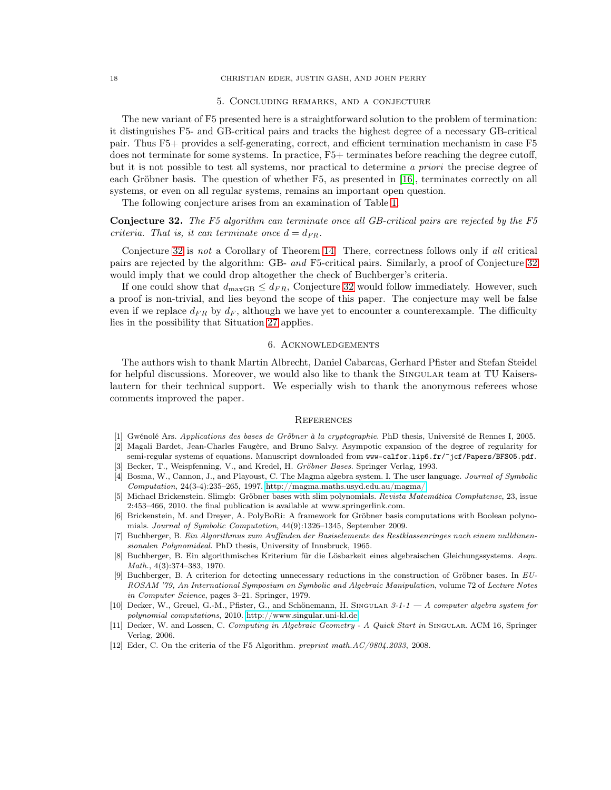#### 5. Concluding remarks, and a conjecture

<span id="page-17-7"></span>The new variant of F5 presented here is a straightforward solution to the problem of termination: it distinguishes F5- and GB-critical pairs and tracks the highest degree of a necessary GB-critical pair. Thus F5+ provides a self-generating, correct, and efficient termination mechanism in case F5 does not terminate for some systems. In practice, F5+ terminates before reaching the degree cutoff, but it is not possible to test all systems, nor practical to determine a *priori* the precise degree of each Gröbner basis. The question of whether F5, as presented in [\[16\]](#page-18-3), terminates correctly on all systems, or even on all regular systems, remains an important open question.

The following conjecture arises from an examination of Table [1.](#page-16-0)

<span id="page-17-10"></span>Conjecture 32. The F5 algorithm can terminate once all GB-critical pairs are rejected by the F5 criteria. That is, it can terminate once  $d = d_{FR}$ .

Conjecture [32](#page-17-10) is not a Corollary of Theorem [14!](#page-5-1) There, correctness follows only if all critical pairs are rejected by the algorithm: GB- and F5-critical pairs. Similarly, a proof of Conjecture [32](#page-17-10) would imply that we could drop altogether the check of Buchberger's criteria.

If one could show that  $d_{\text{maxGB}} \leq d_{FR}$ , Conjecture [32](#page-17-10) would follow immediately. However, such a proof is non-trivial, and lies beyond the scope of this paper. The conjecture may well be false even if we replace  $d_{FR}$  by  $d_F$ , although we have yet to encounter a counterexample. The difficulty lies in the possibility that Situation [27](#page-9-2) applies.

# 6. Acknowledgements

The authors wish to thank Martin Albrecht, Daniel Cabarcas, Gerhard Pfister and Stefan Steidel for helpful discussions. Moreover, we would also like to thank the SINGULAR team at TU Kaiserslautern for their technical support. We especially wish to thank the anonymous referees whose comments improved the paper.

#### **REFERENCES**

- <span id="page-17-6"></span><span id="page-17-5"></span>[1] Gwénolé Ars. Applications des bases de Gröbner à la cryptographie. PhD thesis, Université de Rennes I, 2005.
- [2] Magali Bardet, Jean-Charles Faugère, and Bruno Salvy. Asympotic expansion of the degree of regularity for semi-regular systems of equations. Manuscript downloaded from www-calfor.lip6.fr/~jcf/Papers/BFS05.pdf.
- <span id="page-17-8"></span>[3] Becker, T., Weispfenning, V., and Kredel, H. Gröbner Bases. Springer Verlag, 1993.
- [4] Bosma, W., Cannon, J., and Playoust, C. The Magma algebra system. I. The user language. Journal of Symbolic  $Computation, 24(3-4):235-265, 1997.$ http://magma.maths.usyd.edu.au/magma/.
- <span id="page-17-1"></span>[5] Michael Brickenstein. Slimgb: Gröbner bases with slim polynomials. Revista Matemática Complutense, 23, issue 2:453–466, 2010. the final publication is available at www.springerlink.com.
- <span id="page-17-2"></span>[6] Brickenstein, M. and Dreyer, A. PolyBoRi: A framework for Gröbner basis computations with Boolean polynomials. Journal of Symbolic Computation, 44(9):1326–1345, September 2009.
- <span id="page-17-0"></span>[7] Buchberger, B. Ein Algorithmus zum Auffinden der Basiselemente des Restklassenringes nach einem nulldimensionalen Polynomideal. PhD thesis, University of Innsbruck, 1965.
- <span id="page-17-3"></span>[8] Buchberger, B. Ein algorithmisches Kriterium für die Lösbarkeit eines algebraischen Gleichungssystems. Aequ. Math., 4(3):374–383, 1970.
- <span id="page-17-4"></span>[9] Buchberger, B. A criterion for detecting unnecessary reductions in the construction of Gröbner bases. In EU-ROSAM '79, An International Symposium on Symbolic and Algebraic Manipulation, volume 72 of Lecture Notes in Computer Science, pages 3–21. Springer, 1979.
- [10] Decker, W., Greuel, G.-M., Pfister, G., and Schönemann, H. SINGULAR 3-1-1 A computer algebra system for polynomial computations, 2010. [http://www.singular.uni-kl.de.](http://www.singular.uni-kl.de)
- [11] Decker, W. and Lossen, C. Computing in Algebraic Geometry A Quick Start in SINGULAR. ACM 16, Springer Verlag, 2006.
- <span id="page-17-9"></span>[12] Eder, C. On the criteria of the F5 Algorithm. preprint math.AC/0804.2033, 2008.